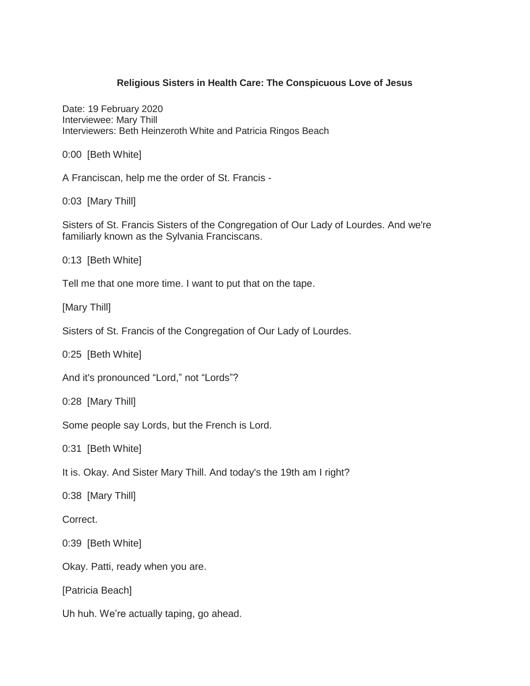## **Religious Sisters in Health Care: The Conspicuous Love of Jesus**

Date: 19 February 2020 Interviewee: Mary Thill Interviewers: Beth Heinzeroth White and Patricia Ringos Beach

0:00 [Beth White]

A Franciscan, help me the order of St. Francis -

0:03 [Mary Thill]

Sisters of St. Francis Sisters of the Congregation of Our Lady of Lourdes. And we're familiarly known as the Sylvania Franciscans.

0:13 [Beth White]

Tell me that one more time. I want to put that on the tape.

[Mary Thill]

Sisters of St. Francis of the Congregation of Our Lady of Lourdes.

0:25 [Beth White]

And it's pronounced "Lord," not "Lords"?

0:28 [Mary Thill]

Some people say Lords, but the French is Lord.

0:31 [Beth White]

It is. Okay. And Sister Mary Thill. And today's the 19th am I right?

0:38 [Mary Thill]

Correct.

0:39 [Beth White]

Okay. Patti, ready when you are.

[Patricia Beach]

Uh huh. We're actually taping, go ahead.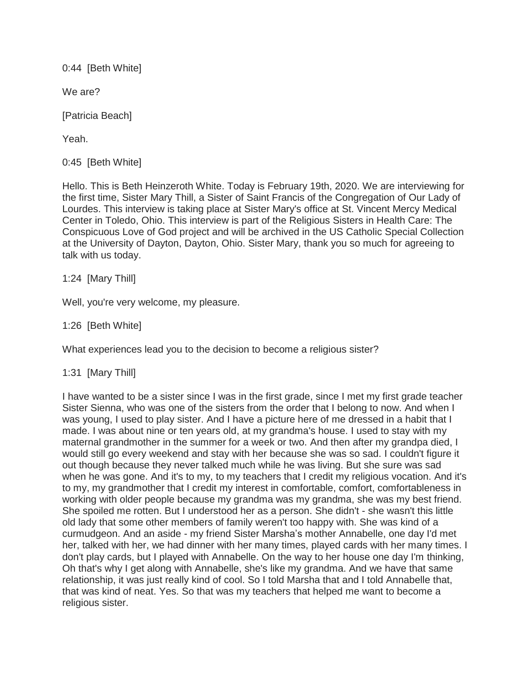0:44 [Beth White]

We are?

[Patricia Beach]

Yeah.

0:45 [Beth White]

Hello. This is Beth Heinzeroth White. Today is February 19th, 2020. We are interviewing for the first time, Sister Mary Thill, a Sister of Saint Francis of the Congregation of Our Lady of Lourdes. This interview is taking place at Sister Mary's office at St. Vincent Mercy Medical Center in Toledo, Ohio. This interview is part of the Religious Sisters in Health Care: The Conspicuous Love of God project and will be archived in the US Catholic Special Collection at the University of Dayton, Dayton, Ohio. Sister Mary, thank you so much for agreeing to talk with us today.

1:24 [Mary Thill]

Well, you're very welcome, my pleasure.

1:26 [Beth White]

What experiences lead you to the decision to become a religious sister?

1:31 [Mary Thill]

I have wanted to be a sister since I was in the first grade, since I met my first grade teacher Sister Sienna, who was one of the sisters from the order that I belong to now. And when I was young, I used to play sister. And I have a picture here of me dressed in a habit that I made. I was about nine or ten years old, at my grandma's house. I used to stay with my maternal grandmother in the summer for a week or two. And then after my grandpa died, I would still go every weekend and stay with her because she was so sad. I couldn't figure it out though because they never talked much while he was living. But she sure was sad when he was gone. And it's to my, to my teachers that I credit my religious vocation. And it's to my, my grandmother that I credit my interest in comfortable, comfort, comfortableness in working with older people because my grandma was my grandma, she was my best friend. She spoiled me rotten. But I understood her as a person. She didn't - she wasn't this little old lady that some other members of family weren't too happy with. She was kind of a curmudgeon. And an aside - my friend Sister Marsha's mother Annabelle, one day I'd met her, talked with her, we had dinner with her many times, played cards with her many times. I don't play cards, but I played with Annabelle. On the way to her house one day I'm thinking, Oh that's why I get along with Annabelle, she's like my grandma. And we have that same relationship, it was just really kind of cool. So I told Marsha that and I told Annabelle that, that was kind of neat. Yes. So that was my teachers that helped me want to become a religious sister.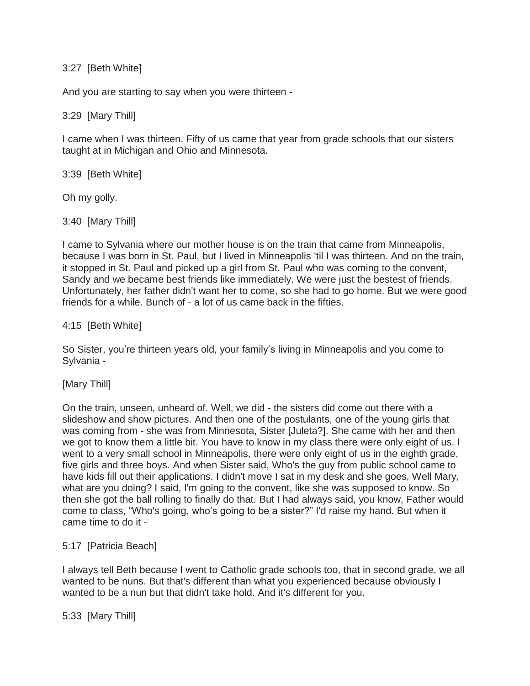### 3:27 [Beth White]

And you are starting to say when you were thirteen -

# 3:29 [Mary Thill]

I came when I was thirteen. Fifty of us came that year from grade schools that our sisters taught at in Michigan and Ohio and Minnesota.

3:39 [Beth White]

Oh my golly.

3:40 [Mary Thill]

I came to Sylvania where our mother house is on the train that came from Minneapolis, because I was born in St. Paul, but I lived in Minneapolis 'til I was thirteen. And on the train, it stopped in St. Paul and picked up a girl from St. Paul who was coming to the convent, Sandy and we became best friends like immediately. We were just the bestest of friends. Unfortunately, her father didn't want her to come, so she had to go home. But we were good friends for a while. Bunch of - a lot of us came back in the fifties.

### 4:15 [Beth White]

So Sister, you're thirteen years old, your family's living in Minneapolis and you come to Sylvania -

[Mary Thill]

On the train, unseen, unheard of. Well, we did - the sisters did come out there with a slideshow and show pictures. And then one of the postulants, one of the young girls that was coming from - she was from Minnesota, Sister [Juleta?]. She came with her and then we got to know them a little bit. You have to know in my class there were only eight of us. I went to a very small school in Minneapolis, there were only eight of us in the eighth grade, five girls and three boys. And when Sister said, Who's the guy from public school came to have kids fill out their applications. I didn't move I sat in my desk and she goes, Well Mary, what are you doing? I said, I'm going to the convent, like she was supposed to know. So then she got the ball rolling to finally do that. But I had always said, you know, Father would come to class, "Who's going, who's going to be a sister?" I'd raise my hand. But when it came time to do it -

# 5:17 [Patricia Beach]

I always tell Beth because I went to Catholic grade schools too, that in second grade, we all wanted to be nuns. But that's different than what you experienced because obviously I wanted to be a nun but that didn't take hold. And it's different for you.

5:33 [Mary Thill]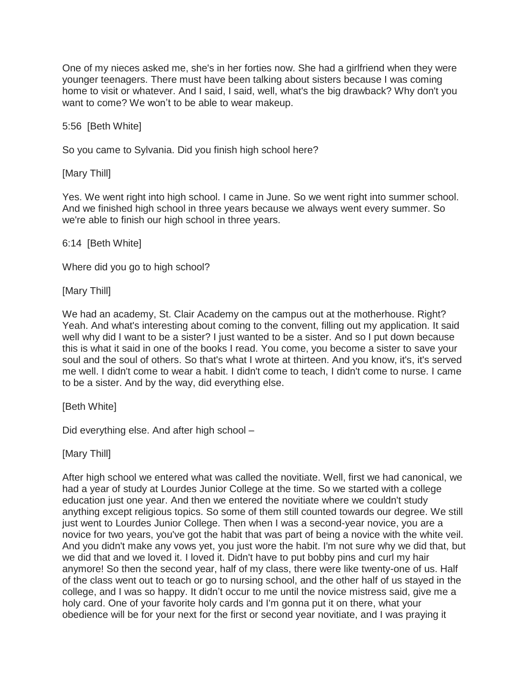One of my nieces asked me, she's in her forties now. She had a girlfriend when they were younger teenagers. There must have been talking about sisters because I was coming home to visit or whatever. And I said, I said, well, what's the big drawback? Why don't you want to come? We won't to be able to wear makeup.

5:56 [Beth White]

So you came to Sylvania. Did you finish high school here?

[Mary Thill]

Yes. We went right into high school. I came in June. So we went right into summer school. And we finished high school in three years because we always went every summer. So we're able to finish our high school in three years.

# 6:14 [Beth White]

Where did you go to high school?

[Mary Thill]

We had an academy, St. Clair Academy on the campus out at the motherhouse. Right? Yeah. And what's interesting about coming to the convent, filling out my application. It said well why did I want to be a sister? I just wanted to be a sister. And so I put down because this is what it said in one of the books I read. You come, you become a sister to save your soul and the soul of others. So that's what I wrote at thirteen. And you know, it's, it's served me well. I didn't come to wear a habit. I didn't come to teach, I didn't come to nurse. I came to be a sister. And by the way, did everything else.

[Beth White]

Did everything else. And after high school –

[Mary Thill]

After high school we entered what was called the novitiate. Well, first we had canonical, we had a year of study at Lourdes Junior College at the time. So we started with a college education just one year. And then we entered the novitiate where we couldn't study anything except religious topics. So some of them still counted towards our degree. We still just went to Lourdes Junior College. Then when I was a second-year novice, you are a novice for two years, you've got the habit that was part of being a novice with the white veil. And you didn't make any vows yet, you just wore the habit. I'm not sure why we did that, but we did that and we loved it. I loved it. Didn't have to put bobby pins and curl my hair anymore! So then the second year, half of my class, there were like twenty-one of us. Half of the class went out to teach or go to nursing school, and the other half of us stayed in the college, and I was so happy. It didn't occur to me until the novice mistress said, give me a holy card. One of your favorite holy cards and I'm gonna put it on there, what your obedience will be for your next for the first or second year novitiate, and I was praying it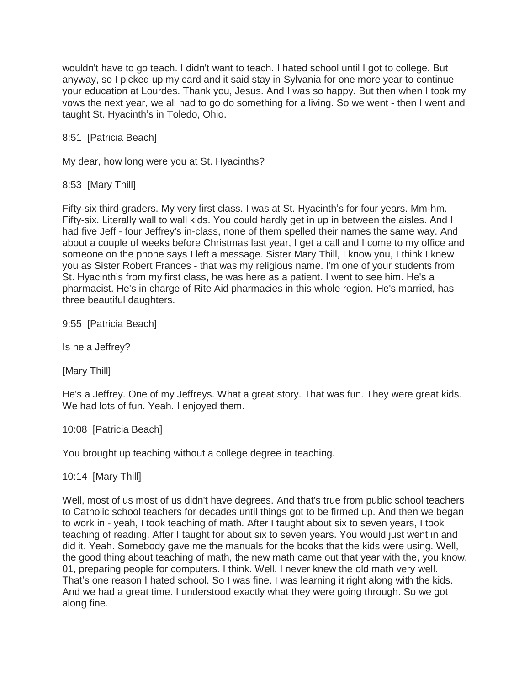wouldn't have to go teach. I didn't want to teach. I hated school until I got to college. But anyway, so I picked up my card and it said stay in Sylvania for one more year to continue your education at Lourdes. Thank you, Jesus. And I was so happy. But then when I took my vows the next year, we all had to go do something for a living. So we went - then I went and taught St. Hyacinth's in Toledo, Ohio.

8:51 [Patricia Beach]

My dear, how long were you at St. Hyacinths?

8:53 [Mary Thill]

Fifty-six third-graders. My very first class. I was at St. Hyacinth's for four years. Mm-hm. Fifty-six. Literally wall to wall kids. You could hardly get in up in between the aisles. And I had five Jeff - four Jeffrey's in-class, none of them spelled their names the same way. And about a couple of weeks before Christmas last year, I get a call and I come to my office and someone on the phone says I left a message. Sister Mary Thill, I know you, I think I knew you as Sister Robert Frances - that was my religious name. I'm one of your students from St. Hyacinth's from my first class, he was here as a patient. I went to see him. He's a pharmacist. He's in charge of Rite Aid pharmacies in this whole region. He's married, has three beautiful daughters.

9:55 [Patricia Beach]

Is he a Jeffrey?

[Mary Thill]

He's a Jeffrey. One of my Jeffreys. What a great story. That was fun. They were great kids. We had lots of fun. Yeah. I enjoyed them.

10:08 [Patricia Beach]

You brought up teaching without a college degree in teaching.

10:14 [Mary Thill]

Well, most of us most of us didn't have degrees. And that's true from public school teachers to Catholic school teachers for decades until things got to be firmed up. And then we began to work in - yeah, I took teaching of math. After I taught about six to seven years, I took teaching of reading. After I taught for about six to seven years. You would just went in and did it. Yeah. Somebody gave me the manuals for the books that the kids were using. Well, the good thing about teaching of math, the new math came out that year with the, you know, 01, preparing people for computers. I think. Well, I never knew the old math very well. That's one reason I hated school. So I was fine. I was learning it right along with the kids. And we had a great time. I understood exactly what they were going through. So we got along fine.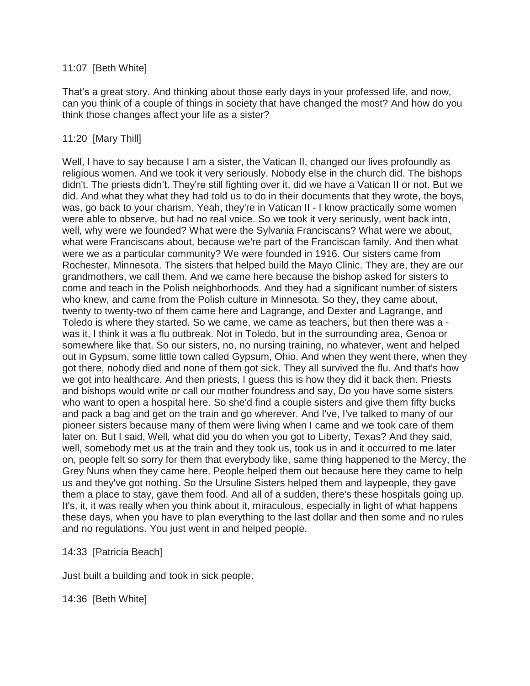### 11:07 [Beth White]

That's a great story. And thinking about those early days in your professed life, and now, can you think of a couple of things in society that have changed the most? And how do you think those changes affect your life as a sister?

## 11:20 [Mary Thill]

Well, I have to say because I am a sister, the Vatican II, changed our lives profoundly as religious women. And we took it very seriously. Nobody else in the church did. The bishops didn't. The priests didn't. They're still fighting over it, did we have a Vatican II or not. But we did. And what they what they had told us to do in their documents that they wrote, the boys, was, go back to your charism. Yeah, they're in Vatican II - I know practically some women were able to observe, but had no real voice. So we took it very seriously, went back into, well, why were we founded? What were the Sylvania Franciscans? What were we about, what were Franciscans about, because we're part of the Franciscan family. And then what were we as a particular community? We were founded in 1916. Our sisters came from Rochester, Minnesota. The sisters that helped build the Mayo Clinic. They are, they are our grandmothers, we call them. And we came here because the bishop asked for sisters to come and teach in the Polish neighborhoods. And they had a significant number of sisters who knew, and came from the Polish culture in Minnesota. So they, they came about, twenty to twenty-two of them came here and Lagrange, and Dexter and Lagrange, and Toledo is where they started. So we came, we came as teachers, but then there was a was it, I think it was a flu outbreak. Not in Toledo, but in the surrounding area, Genoa or somewhere like that. So our sisters, no, no nursing training, no whatever, went and helped out in Gypsum, some little town called Gypsum, Ohio. And when they went there, when they got there, nobody died and none of them got sick. They all survived the flu. And that's how we got into healthcare. And then priests, I guess this is how they did it back then. Priests and bishops would write or call our mother foundress and say, Do you have some sisters who want to open a hospital here. So she'd find a couple sisters and give them fifty bucks and pack a bag and get on the train and go wherever. And I've, I've talked to many of our pioneer sisters because many of them were living when I came and we took care of them later on. But I said, Well, what did you do when you got to Liberty, Texas? And they said, well, somebody met us at the train and they took us, took us in and it occurred to me later on, people felt so sorry for them that everybody like, same thing happened to the Mercy, the Grey Nuns when they came here. People helped them out because here they came to help us and they've got nothing. So the Ursuline Sisters helped them and laypeople, they gave them a place to stay, gave them food. And all of a sudden, there's these hospitals going up. It's, it, it was really when you think about it, miraculous, especially in light of what happens these days, when you have to plan everything to the last dollar and then some and no rules and no regulations. You just went in and helped people.

### 14:33 [Patricia Beach]

Just built a building and took in sick people.

14:36 [Beth White]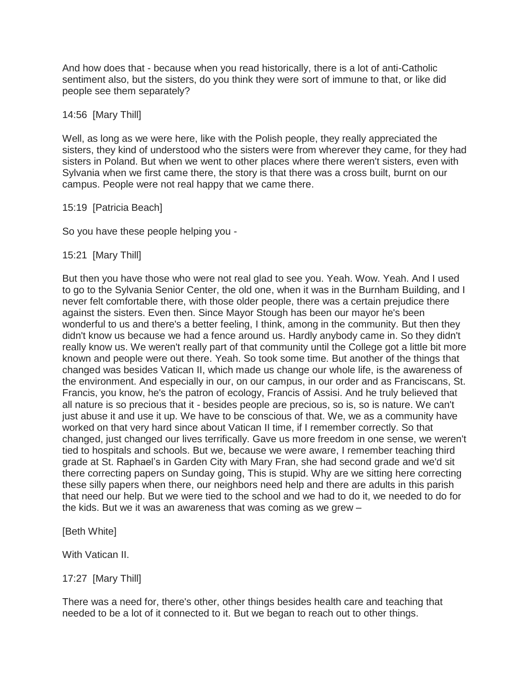And how does that - because when you read historically, there is a lot of anti-Catholic sentiment also, but the sisters, do you think they were sort of immune to that, or like did people see them separately?

### 14:56 [Mary Thill]

Well, as long as we were here, like with the Polish people, they really appreciated the sisters, they kind of understood who the sisters were from wherever they came, for they had sisters in Poland. But when we went to other places where there weren't sisters, even with Sylvania when we first came there, the story is that there was a cross built, burnt on our campus. People were not real happy that we came there.

### 15:19 [Patricia Beach]

So you have these people helping you -

### 15:21 [Mary Thill]

But then you have those who were not real glad to see you. Yeah. Wow. Yeah. And I used to go to the Sylvania Senior Center, the old one, when it was in the Burnham Building, and I never felt comfortable there, with those older people, there was a certain prejudice there against the sisters. Even then. Since Mayor Stough has been our mayor he's been wonderful to us and there's a better feeling, I think, among in the community. But then they didn't know us because we had a fence around us. Hardly anybody came in. So they didn't really know us. We weren't really part of that community until the College got a little bit more known and people were out there. Yeah. So took some time. But another of the things that changed was besides Vatican II, which made us change our whole life, is the awareness of the environment. And especially in our, on our campus, in our order and as Franciscans, St. Francis, you know, he's the patron of ecology, Francis of Assisi. And he truly believed that all nature is so precious that it - besides people are precious, so is, so is nature. We can't just abuse it and use it up. We have to be conscious of that. We, we as a community have worked on that very hard since about Vatican II time, if I remember correctly. So that changed, just changed our lives terrifically. Gave us more freedom in one sense, we weren't tied to hospitals and schools. But we, because we were aware, I remember teaching third grade at St. Raphael's in Garden City with Mary Fran, she had second grade and we'd sit there correcting papers on Sunday going, This is stupid. Why are we sitting here correcting these silly papers when there, our neighbors need help and there are adults in this parish that need our help. But we were tied to the school and we had to do it, we needed to do for the kids. But we it was an awareness that was coming as we grew –

[Beth White]

With Vatican II.

### 17:27 [Mary Thill]

There was a need for, there's other, other things besides health care and teaching that needed to be a lot of it connected to it. But we began to reach out to other things.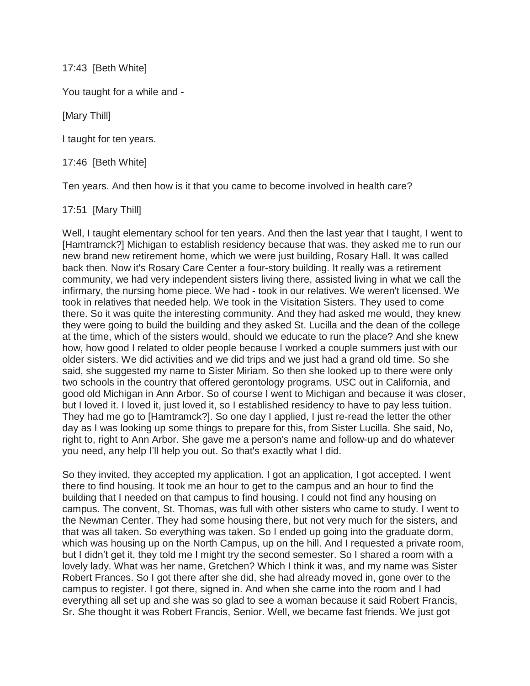17:43 [Beth White]

You taught for a while and -

[Mary Thill]

I taught for ten years.

17:46 [Beth White]

Ten years. And then how is it that you came to become involved in health care?

17:51 [Mary Thill]

Well, I taught elementary school for ten years. And then the last year that I taught, I went to [Hamtramck?] Michigan to establish residency because that was, they asked me to run our new brand new retirement home, which we were just building, Rosary Hall. It was called back then. Now it's Rosary Care Center a four-story building. It really was a retirement community, we had very independent sisters living there, assisted living in what we call the infirmary, the nursing home piece. We had - took in our relatives. We weren't licensed. We took in relatives that needed help. We took in the Visitation Sisters. They used to come there. So it was quite the interesting community. And they had asked me would, they knew they were going to build the building and they asked St. Lucilla and the dean of the college at the time, which of the sisters would, should we educate to run the place? And she knew how, how good I related to older people because I worked a couple summers just with our older sisters. We did activities and we did trips and we just had a grand old time. So she said, she suggested my name to Sister Miriam. So then she looked up to there were only two schools in the country that offered gerontology programs. USC out in California, and good old Michigan in Ann Arbor. So of course I went to Michigan and because it was closer, but I loved it. I loved it, just loved it, so I established residency to have to pay less tuition. They had me go to [Hamtramck?]. So one day I applied, I just re-read the letter the other day as I was looking up some things to prepare for this, from Sister Lucilla. She said, No, right to, right to Ann Arbor. She gave me a person's name and follow-up and do whatever you need, any help I'll help you out. So that's exactly what I did.

So they invited, they accepted my application. I got an application, I got accepted. I went there to find housing. It took me an hour to get to the campus and an hour to find the building that I needed on that campus to find housing. I could not find any housing on campus. The convent, St. Thomas, was full with other sisters who came to study. I went to the Newman Center. They had some housing there, but not very much for the sisters, and that was all taken. So everything was taken. So I ended up going into the graduate dorm, which was housing up on the North Campus, up on the hill. And I requested a private room, but I didn't get it, they told me I might try the second semester. So I shared a room with a lovely lady. What was her name, Gretchen? Which I think it was, and my name was Sister Robert Frances. So I got there after she did, she had already moved in, gone over to the campus to register. I got there, signed in. And when she came into the room and I had everything all set up and she was so glad to see a woman because it said Robert Francis, Sr. She thought it was Robert Francis, Senior. Well, we became fast friends. We just got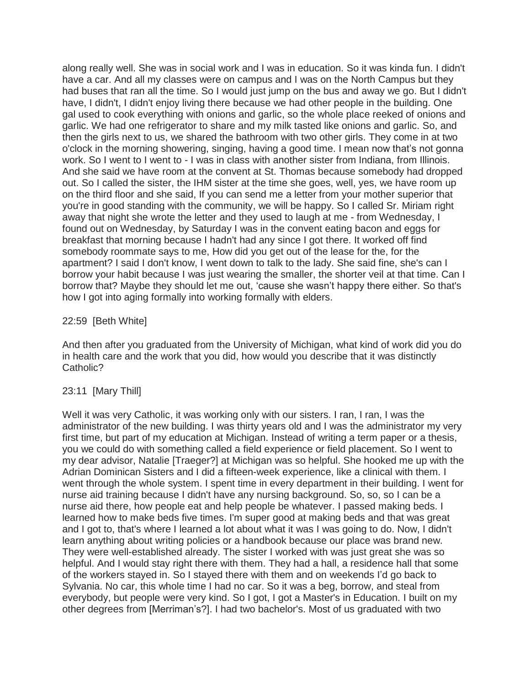along really well. She was in social work and I was in education. So it was kinda fun. I didn't have a car. And all my classes were on campus and I was on the North Campus but they had buses that ran all the time. So I would just jump on the bus and away we go. But I didn't have, I didn't, I didn't enjoy living there because we had other people in the building. One gal used to cook everything with onions and garlic, so the whole place reeked of onions and garlic. We had one refrigerator to share and my milk tasted like onions and garlic. So, and then the girls next to us, we shared the bathroom with two other girls. They come in at two o'clock in the morning showering, singing, having a good time. I mean now that's not gonna work. So I went to I went to - I was in class with another sister from Indiana, from Illinois. And she said we have room at the convent at St. Thomas because somebody had dropped out. So I called the sister, the IHM sister at the time she goes, well, yes, we have room up on the third floor and she said, If you can send me a letter from your mother superior that you're in good standing with the community, we will be happy. So I called Sr. Miriam right away that night she wrote the letter and they used to laugh at me - from Wednesday, I found out on Wednesday, by Saturday I was in the convent eating bacon and eggs for breakfast that morning because I hadn't had any since I got there. It worked off find somebody roommate says to me, How did you get out of the lease for the, for the apartment? I said I don't know, I went down to talk to the lady. She said fine, she's can I borrow your habit because I was just wearing the smaller, the shorter veil at that time. Can I borrow that? Maybe they should let me out, 'cause she wasn't happy there either. So that's how I got into aging formally into working formally with elders.

### 22:59 [Beth White]

And then after you graduated from the University of Michigan, what kind of work did you do in health care and the work that you did, how would you describe that it was distinctly Catholic?

### 23:11 [Mary Thill]

Well it was very Catholic, it was working only with our sisters. I ran, I ran, I was the administrator of the new building. I was thirty years old and I was the administrator my very first time, but part of my education at Michigan. Instead of writing a term paper or a thesis, you we could do with something called a field experience or field placement. So I went to my dear advisor, Natalie [Traeger?] at Michigan was so helpful. She hooked me up with the Adrian Dominican Sisters and I did a fifteen-week experience, like a clinical with them. I went through the whole system. I spent time in every department in their building. I went for nurse aid training because I didn't have any nursing background. So, so, so I can be a nurse aid there, how people eat and help people be whatever. I passed making beds. I learned how to make beds five times. I'm super good at making beds and that was great and I got to, that's where I learned a lot about what it was I was going to do. Now, I didn't learn anything about writing policies or a handbook because our place was brand new. They were well-established already. The sister I worked with was just great she was so helpful. And I would stay right there with them. They had a hall, a residence hall that some of the workers stayed in. So I stayed there with them and on weekends I'd go back to Sylvania. No car, this whole time I had no car. So it was a beg, borrow, and steal from everybody, but people were very kind. So I got, I got a Master's in Education. I built on my other degrees from [Merriman's?]. I had two bachelor's. Most of us graduated with two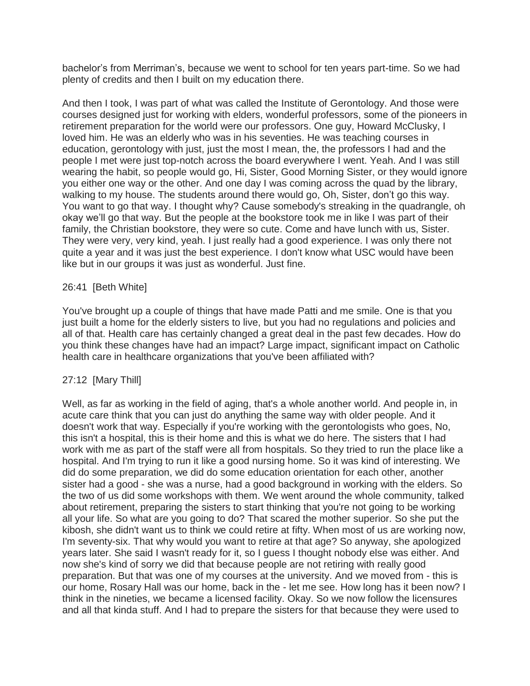bachelor's from Merriman's, because we went to school for ten years part-time. So we had plenty of credits and then I built on my education there.

And then I took, I was part of what was called the Institute of Gerontology. And those were courses designed just for working with elders, wonderful professors, some of the pioneers in retirement preparation for the world were our professors. One guy, Howard McClusky, I loved him. He was an elderly who was in his seventies. He was teaching courses in education, gerontology with just, just the most I mean, the, the professors I had and the people I met were just top-notch across the board everywhere I went. Yeah. And I was still wearing the habit, so people would go, Hi, Sister, Good Morning Sister, or they would ignore you either one way or the other. And one day I was coming across the quad by the library, walking to my house. The students around there would go, Oh, Sister, don't go this way. You want to go that way. I thought why? Cause somebody's streaking in the quadrangle, oh okay we'll go that way. But the people at the bookstore took me in like I was part of their family, the Christian bookstore, they were so cute. Come and have lunch with us, Sister. They were very, very kind, yeah. I just really had a good experience. I was only there not quite a year and it was just the best experience. I don't know what USC would have been like but in our groups it was just as wonderful. Just fine.

### 26:41 [Beth White]

You've brought up a couple of things that have made Patti and me smile. One is that you just built a home for the elderly sisters to live, but you had no regulations and policies and all of that. Health care has certainly changed a great deal in the past few decades. How do you think these changes have had an impact? Large impact, significant impact on Catholic health care in healthcare organizations that you've been affiliated with?

### 27:12 [Mary Thill]

Well, as far as working in the field of aging, that's a whole another world. And people in, in acute care think that you can just do anything the same way with older people. And it doesn't work that way. Especially if you're working with the gerontologists who goes, No, this isn't a hospital, this is their home and this is what we do here. The sisters that I had work with me as part of the staff were all from hospitals. So they tried to run the place like a hospital. And I'm trying to run it like a good nursing home. So it was kind of interesting. We did do some preparation, we did do some education orientation for each other, another sister had a good - she was a nurse, had a good background in working with the elders. So the two of us did some workshops with them. We went around the whole community, talked about retirement, preparing the sisters to start thinking that you're not going to be working all your life. So what are you going to do? That scared the mother superior. So she put the kibosh, she didn't want us to think we could retire at fifty. When most of us are working now, I'm seventy-six. That why would you want to retire at that age? So anyway, she apologized years later. She said I wasn't ready for it, so I guess I thought nobody else was either. And now she's kind of sorry we did that because people are not retiring with really good preparation. But that was one of my courses at the university. And we moved from - this is our home, Rosary Hall was our home, back in the - let me see. How long has it been now? I think in the nineties, we became a licensed facility. Okay. So we now follow the licensures and all that kinda stuff. And I had to prepare the sisters for that because they were used to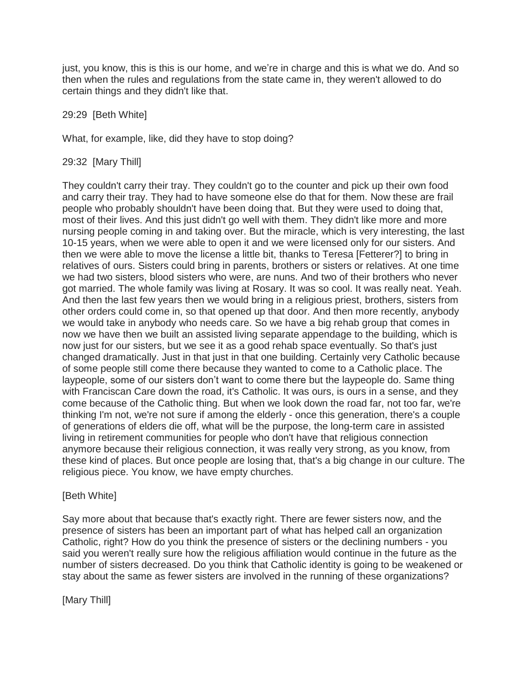just, you know, this is this is our home, and we're in charge and this is what we do. And so then when the rules and regulations from the state came in, they weren't allowed to do certain things and they didn't like that.

29:29 [Beth White]

What, for example, like, did they have to stop doing?

29:32 [Mary Thill]

They couldn't carry their tray. They couldn't go to the counter and pick up their own food and carry their tray. They had to have someone else do that for them. Now these are frail people who probably shouldn't have been doing that. But they were used to doing that, most of their lives. And this just didn't go well with them. They didn't like more and more nursing people coming in and taking over. But the miracle, which is very interesting, the last 10-15 years, when we were able to open it and we were licensed only for our sisters. And then we were able to move the license a little bit, thanks to Teresa [Fetterer?] to bring in relatives of ours. Sisters could bring in parents, brothers or sisters or relatives. At one time we had two sisters, blood sisters who were, are nuns. And two of their brothers who never got married. The whole family was living at Rosary. It was so cool. It was really neat. Yeah. And then the last few years then we would bring in a religious priest, brothers, sisters from other orders could come in, so that opened up that door. And then more recently, anybody we would take in anybody who needs care. So we have a big rehab group that comes in now we have then we built an assisted living separate appendage to the building, which is now just for our sisters, but we see it as a good rehab space eventually. So that's just changed dramatically. Just in that just in that one building. Certainly very Catholic because of some people still come there because they wanted to come to a Catholic place. The laypeople, some of our sisters don't want to come there but the laypeople do. Same thing with Franciscan Care down the road, it's Catholic. It was ours, is ours in a sense, and they come because of the Catholic thing. But when we look down the road far, not too far, we're thinking I'm not, we're not sure if among the elderly - once this generation, there's a couple of generations of elders die off, what will be the purpose, the long-term care in assisted living in retirement communities for people who don't have that religious connection anymore because their religious connection, it was really very strong, as you know, from these kind of places. But once people are losing that, that's a big change in our culture. The religious piece. You know, we have empty churches.

# [Beth White]

Say more about that because that's exactly right. There are fewer sisters now, and the presence of sisters has been an important part of what has helped call an organization Catholic, right? How do you think the presence of sisters or the declining numbers - you said you weren't really sure how the religious affiliation would continue in the future as the number of sisters decreased. Do you think that Catholic identity is going to be weakened or stay about the same as fewer sisters are involved in the running of these organizations?

[Mary Thill]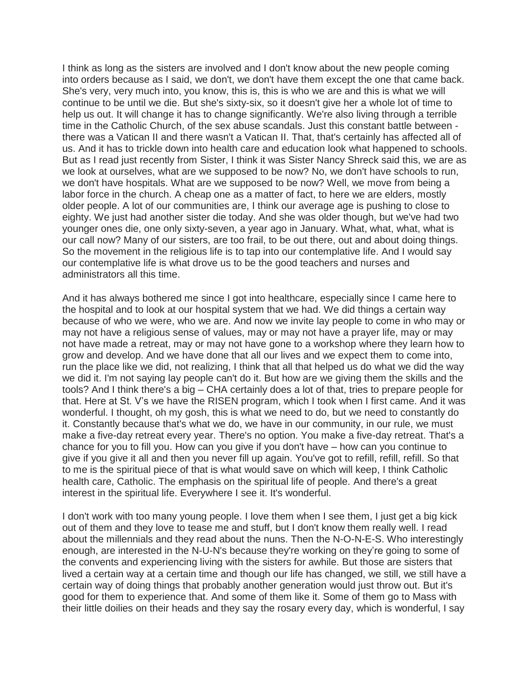I think as long as the sisters are involved and I don't know about the new people coming into orders because as I said, we don't, we don't have them except the one that came back. She's very, very much into, you know, this is, this is who we are and this is what we will continue to be until we die. But she's sixty-six, so it doesn't give her a whole lot of time to help us out. It will change it has to change significantly. We're also living through a terrible time in the Catholic Church, of the sex abuse scandals. Just this constant battle between there was a Vatican II and there wasn't a Vatican II. That, that's certainly has affected all of us. And it has to trickle down into health care and education look what happened to schools. But as I read just recently from Sister, I think it was Sister Nancy Shreck said this, we are as we look at ourselves, what are we supposed to be now? No, we don't have schools to run, we don't have hospitals. What are we supposed to be now? Well, we move from being a labor force in the church. A cheap one as a matter of fact, to here we are elders, mostly older people. A lot of our communities are, I think our average age is pushing to close to eighty. We just had another sister die today. And she was older though, but we've had two younger ones die, one only sixty-seven, a year ago in January. What, what, what, what is our call now? Many of our sisters, are too frail, to be out there, out and about doing things. So the movement in the religious life is to tap into our contemplative life. And I would say our contemplative life is what drove us to be the good teachers and nurses and administrators all this time.

And it has always bothered me since I got into healthcare, especially since I came here to the hospital and to look at our hospital system that we had. We did things a certain way because of who we were, who we are. And now we invite lay people to come in who may or may not have a religious sense of values, may or may not have a prayer life, may or may not have made a retreat, may or may not have gone to a workshop where they learn how to grow and develop. And we have done that all our lives and we expect them to come into, run the place like we did, not realizing, I think that all that helped us do what we did the way we did it. I'm not saying lay people can't do it. But how are we giving them the skills and the tools? And I think there's a big – CHA certainly does a lot of that, tries to prepare people for that. Here at St. V's we have the RISEN program, which I took when I first came. And it was wonderful. I thought, oh my gosh, this is what we need to do, but we need to constantly do it. Constantly because that's what we do, we have in our community, in our rule, we must make a five-day retreat every year. There's no option. You make a five-day retreat. That's a chance for you to fill you. How can you give if you don't have – how can you continue to give if you give it all and then you never fill up again. You've got to refill, refill, refill. So that to me is the spiritual piece of that is what would save on which will keep, I think Catholic health care, Catholic. The emphasis on the spiritual life of people. And there's a great interest in the spiritual life. Everywhere I see it. It's wonderful.

I don't work with too many young people. I love them when I see them, I just get a big kick out of them and they love to tease me and stuff, but I don't know them really well. I read about the millennials and they read about the nuns. Then the N-O-N-E-S. Who interestingly enough, are interested in the N-U-N's because they're working on they're going to some of the convents and experiencing living with the sisters for awhile. But those are sisters that lived a certain way at a certain time and though our life has changed, we still, we still have a certain way of doing things that probably another generation would just throw out. But it's good for them to experience that. And some of them like it. Some of them go to Mass with their little doilies on their heads and they say the rosary every day, which is wonderful, I say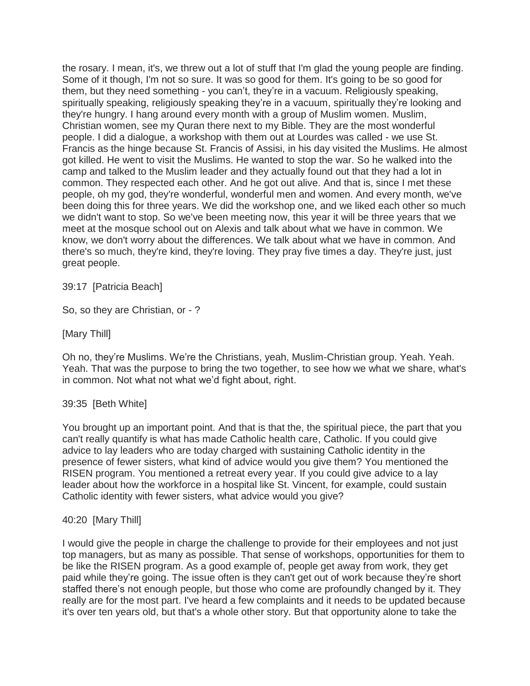the rosary. I mean, it's, we threw out a lot of stuff that I'm glad the young people are finding. Some of it though, I'm not so sure. It was so good for them. It's going to be so good for them, but they need something - you can't, they're in a vacuum. Religiously speaking, spiritually speaking, religiously speaking they're in a vacuum, spiritually they're looking and they're hungry. I hang around every month with a group of Muslim women. Muslim, Christian women, see my Quran there next to my Bible. They are the most wonderful people. I did a dialogue, a workshop with them out at Lourdes was called - we use St. Francis as the hinge because St. Francis of Assisi, in his day visited the Muslims. He almost got killed. He went to visit the Muslims. He wanted to stop the war. So he walked into the camp and talked to the Muslim leader and they actually found out that they had a lot in common. They respected each other. And he got out alive. And that is, since I met these people, oh my god, they're wonderful, wonderful men and women. And every month, we've been doing this for three years. We did the workshop one, and we liked each other so much we didn't want to stop. So we've been meeting now, this year it will be three years that we meet at the mosque school out on Alexis and talk about what we have in common. We know, we don't worry about the differences. We talk about what we have in common. And there's so much, they're kind, they're loving. They pray five times a day. They're just, just great people.

### 39:17 [Patricia Beach]

So, so they are Christian, or - ?

[Mary Thill]

Oh no, they're Muslims. We're the Christians, yeah, Muslim-Christian group. Yeah. Yeah. Yeah. That was the purpose to bring the two together, to see how we what we share, what's in common. Not what not what we'd fight about, right.

### 39:35 [Beth White]

You brought up an important point. And that is that the, the spiritual piece, the part that you can't really quantify is what has made Catholic health care, Catholic. If you could give advice to lay leaders who are today charged with sustaining Catholic identity in the presence of fewer sisters, what kind of advice would you give them? You mentioned the RISEN program. You mentioned a retreat every year. If you could give advice to a lay leader about how the workforce in a hospital like St. Vincent, for example, could sustain Catholic identity with fewer sisters, what advice would you give?

### 40:20 [Mary Thill]

I would give the people in charge the challenge to provide for their employees and not just top managers, but as many as possible. That sense of workshops, opportunities for them to be like the RISEN program. As a good example of, people get away from work, they get paid while they're going. The issue often is they can't get out of work because they're short staffed there's not enough people, but those who come are profoundly changed by it. They really are for the most part. I've heard a few complaints and it needs to be updated because it's over ten years old, but that's a whole other story. But that opportunity alone to take the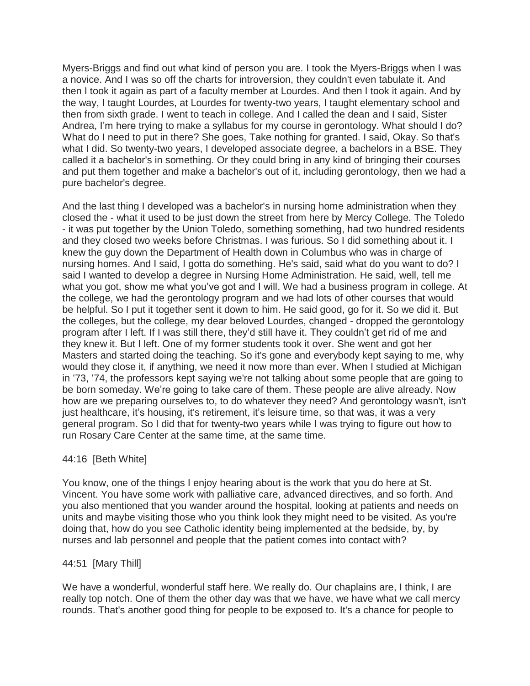Myers-Briggs and find out what kind of person you are. I took the Myers-Briggs when I was a novice. And I was so off the charts for introversion, they couldn't even tabulate it. And then I took it again as part of a faculty member at Lourdes. And then I took it again. And by the way, I taught Lourdes, at Lourdes for twenty-two years, I taught elementary school and then from sixth grade. I went to teach in college. And I called the dean and I said, Sister Andrea, I'm here trying to make a syllabus for my course in gerontology. What should I do? What do I need to put in there? She goes, Take nothing for granted. I said, Okay. So that's what I did. So twenty-two years, I developed associate degree, a bachelors in a BSE. They called it a bachelor's in something. Or they could bring in any kind of bringing their courses and put them together and make a bachelor's out of it, including gerontology, then we had a pure bachelor's degree.

And the last thing I developed was a bachelor's in nursing home administration when they closed the - what it used to be just down the street from here by Mercy College. The Toledo - it was put together by the Union Toledo, something something, had two hundred residents and they closed two weeks before Christmas. I was furious. So I did something about it. I knew the guy down the Department of Health down in Columbus who was in charge of nursing homes. And I said, I gotta do something. He's said, said what do you want to do? I said I wanted to develop a degree in Nursing Home Administration. He said, well, tell me what you got, show me what you've got and I will. We had a business program in college. At the college, we had the gerontology program and we had lots of other courses that would be helpful. So I put it together sent it down to him. He said good, go for it. So we did it. But the colleges, but the college, my dear beloved Lourdes, changed - dropped the gerontology program after I left. If I was still there, they'd still have it. They couldn't get rid of me and they knew it. But I left. One of my former students took it over. She went and got her Masters and started doing the teaching. So it's gone and everybody kept saying to me, why would they close it, if anything, we need it now more than ever. When I studied at Michigan in '73, '74, the professors kept saying we're not talking about some people that are going to be born someday. We're going to take care of them. These people are alive already. Now how are we preparing ourselves to, to do whatever they need? And gerontology wasn't, isn't just healthcare, it's housing, it's retirement, it's leisure time, so that was, it was a very general program. So I did that for twenty-two years while I was trying to figure out how to run Rosary Care Center at the same time, at the same time.

### 44:16 [Beth White]

You know, one of the things I enjoy hearing about is the work that you do here at St. Vincent. You have some work with palliative care, advanced directives, and so forth. And you also mentioned that you wander around the hospital, looking at patients and needs on units and maybe visiting those who you think look they might need to be visited. As you're doing that, how do you see Catholic identity being implemented at the bedside, by, by nurses and lab personnel and people that the patient comes into contact with?

### 44:51 [Mary Thill]

We have a wonderful, wonderful staff here. We really do. Our chaplains are, I think, I are really top notch. One of them the other day was that we have, we have what we call mercy rounds. That's another good thing for people to be exposed to. It's a chance for people to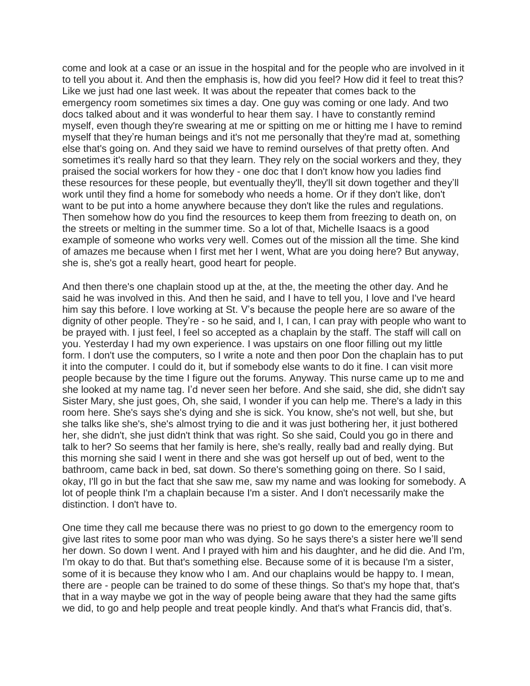come and look at a case or an issue in the hospital and for the people who are involved in it to tell you about it. And then the emphasis is, how did you feel? How did it feel to treat this? Like we just had one last week. It was about the repeater that comes back to the emergency room sometimes six times a day. One guy was coming or one lady. And two docs talked about and it was wonderful to hear them say. I have to constantly remind myself, even though they're swearing at me or spitting on me or hitting me I have to remind myself that they're human beings and it's not me personally that they're mad at, something else that's going on. And they said we have to remind ourselves of that pretty often. And sometimes it's really hard so that they learn. They rely on the social workers and they, they praised the social workers for how they - one doc that I don't know how you ladies find these resources for these people, but eventually they'll, they'll sit down together and they'll work until they find a home for somebody who needs a home. Or if they don't like, don't want to be put into a home anywhere because they don't like the rules and regulations. Then somehow how do you find the resources to keep them from freezing to death on, on the streets or melting in the summer time. So a lot of that, Michelle Isaacs is a good example of someone who works very well. Comes out of the mission all the time. She kind of amazes me because when I first met her I went, What are you doing here? But anyway, she is, she's got a really heart, good heart for people.

And then there's one chaplain stood up at the, at the, the meeting the other day. And he said he was involved in this. And then he said, and I have to tell you, I love and I've heard him say this before. I love working at St. V's because the people here are so aware of the dignity of other people. They're - so he said, and I, I can, I can pray with people who want to be prayed with. I just feel, I feel so accepted as a chaplain by the staff. The staff will call on you. Yesterday I had my own experience. I was upstairs on one floor filling out my little form. I don't use the computers, so I write a note and then poor Don the chaplain has to put it into the computer. I could do it, but if somebody else wants to do it fine. I can visit more people because by the time I figure out the forums. Anyway. This nurse came up to me and she looked at my name tag. I'd never seen her before. And she said, she did, she didn't say Sister Mary, she just goes, Oh, she said, I wonder if you can help me. There's a lady in this room here. She's says she's dying and she is sick. You know, she's not well, but she, but she talks like she's, she's almost trying to die and it was just bothering her, it just bothered her, she didn't, she just didn't think that was right. So she said, Could you go in there and talk to her? So seems that her family is here, she's really, really bad and really dying. But this morning she said I went in there and she was got herself up out of bed, went to the bathroom, came back in bed, sat down. So there's something going on there. So I said, okay, I'll go in but the fact that she saw me, saw my name and was looking for somebody. A lot of people think I'm a chaplain because I'm a sister. And I don't necessarily make the distinction. I don't have to.

One time they call me because there was no priest to go down to the emergency room to give last rites to some poor man who was dying. So he says there's a sister here we'll send her down. So down I went. And I prayed with him and his daughter, and he did die. And I'm, I'm okay to do that. But that's something else. Because some of it is because I'm a sister, some of it is because they know who I am. And our chaplains would be happy to. I mean, there are - people can be trained to do some of these things. So that's my hope that, that's that in a way maybe we got in the way of people being aware that they had the same gifts we did, to go and help people and treat people kindly. And that's what Francis did, that's.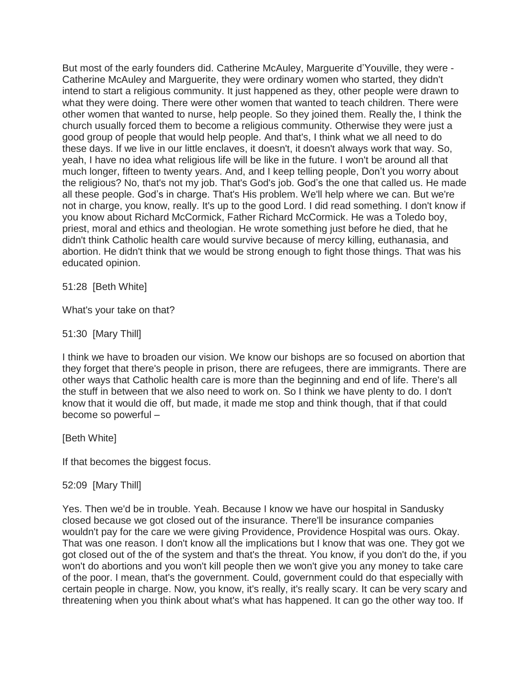But most of the early founders did. Catherine McAuley, Marguerite d'Youville, they were - Catherine McAuley and Marguerite, they were ordinary women who started, they didn't intend to start a religious community. It just happened as they, other people were drawn to what they were doing. There were other women that wanted to teach children. There were other women that wanted to nurse, help people. So they joined them. Really the, I think the church usually forced them to become a religious community. Otherwise they were just a good group of people that would help people. And that's, I think what we all need to do these days. If we live in our little enclaves, it doesn't, it doesn't always work that way. So, yeah, I have no idea what religious life will be like in the future. I won't be around all that much longer, fifteen to twenty years. And, and I keep telling people, Don't you worry about the religious? No, that's not my job. That's God's job. God's the one that called us. He made all these people. God's in charge. That's His problem. We'll help where we can. But we're not in charge, you know, really. It's up to the good Lord. I did read something. I don't know if you know about Richard McCormick, Father Richard McCormick. He was a Toledo boy, priest, moral and ethics and theologian. He wrote something just before he died, that he didn't think Catholic health care would survive because of mercy killing, euthanasia, and abortion. He didn't think that we would be strong enough to fight those things. That was his educated opinion.

51:28 [Beth White]

What's your take on that?

51:30 [Mary Thill]

I think we have to broaden our vision. We know our bishops are so focused on abortion that they forget that there's people in prison, there are refugees, there are immigrants. There are other ways that Catholic health care is more than the beginning and end of life. There's all the stuff in between that we also need to work on. So I think we have plenty to do. I don't know that it would die off, but made, it made me stop and think though, that if that could become so powerful –

[Beth White]

If that becomes the biggest focus.

### 52:09 [Mary Thill]

Yes. Then we'd be in trouble. Yeah. Because I know we have our hospital in Sandusky closed because we got closed out of the insurance. There'll be insurance companies wouldn't pay for the care we were giving Providence, Providence Hospital was ours. Okay. That was one reason. I don't know all the implications but I know that was one. They got we got closed out of the of the system and that's the threat. You know, if you don't do the, if you won't do abortions and you won't kill people then we won't give you any money to take care of the poor. I mean, that's the government. Could, government could do that especially with certain people in charge. Now, you know, it's really, it's really scary. It can be very scary and threatening when you think about what's what has happened. It can go the other way too. If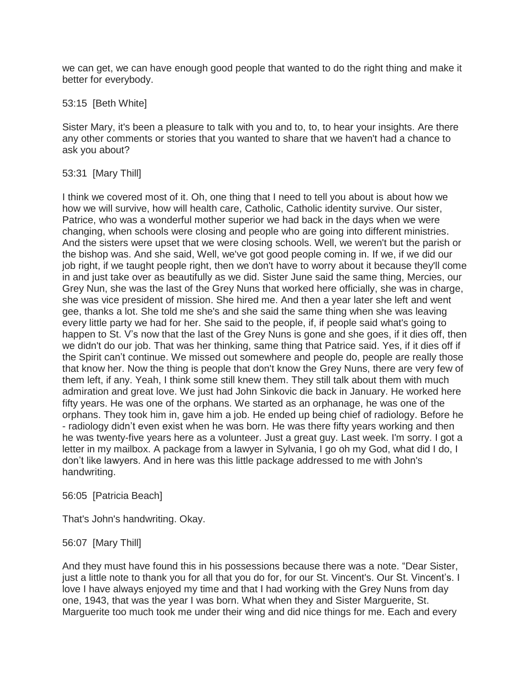we can get, we can have enough good people that wanted to do the right thing and make it better for everybody.

# 53:15 [Beth White]

Sister Mary, it's been a pleasure to talk with you and to, to, to hear your insights. Are there any other comments or stories that you wanted to share that we haven't had a chance to ask you about?

# 53:31 [Mary Thill]

I think we covered most of it. Oh, one thing that I need to tell you about is about how we how we will survive, how will health care, Catholic, Catholic identity survive. Our sister, Patrice, who was a wonderful mother superior we had back in the days when we were changing, when schools were closing and people who are going into different ministries. And the sisters were upset that we were closing schools. Well, we weren't but the parish or the bishop was. And she said, Well, we've got good people coming in. If we, if we did our job right, if we taught people right, then we don't have to worry about it because they'll come in and just take over as beautifully as we did. Sister June said the same thing, Mercies, our Grey Nun, she was the last of the Grey Nuns that worked here officially, she was in charge, she was vice president of mission. She hired me. And then a year later she left and went gee, thanks a lot. She told me she's and she said the same thing when she was leaving every little party we had for her. She said to the people, if, if people said what's going to happen to St. V's now that the last of the Grey Nuns is gone and she goes, if it dies off, then we didn't do our job. That was her thinking, same thing that Patrice said. Yes, if it dies off if the Spirit can't continue. We missed out somewhere and people do, people are really those that know her. Now the thing is people that don't know the Grey Nuns, there are very few of them left, if any. Yeah, I think some still knew them. They still talk about them with much admiration and great love. We just had John Sinkovic die back in January. He worked here fifty years. He was one of the orphans. We started as an orphanage, he was one of the orphans. They took him in, gave him a job. He ended up being chief of radiology. Before he - radiology didn't even exist when he was born. He was there fifty years working and then he was twenty-five years here as a volunteer. Just a great guy. Last week. I'm sorry. I got a letter in my mailbox. A package from a lawyer in Sylvania, I go oh my God, what did I do, I don't like lawyers. And in here was this little package addressed to me with John's handwriting.

### 56:05 [Patricia Beach]

That's John's handwriting. Okay.

56:07 [Mary Thill]

And they must have found this in his possessions because there was a note. "Dear Sister, just a little note to thank you for all that you do for, for our St. Vincent's. Our St. Vincent's. I love I have always enjoyed my time and that I had working with the Grey Nuns from day one, 1943, that was the year I was born. What when they and Sister Marguerite, St. Marguerite too much took me under their wing and did nice things for me. Each and every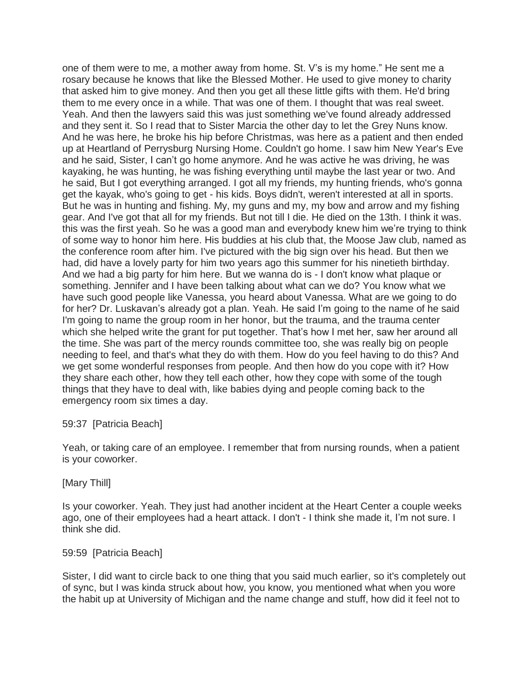one of them were to me, a mother away from home. St. V's is my home." He sent me a rosary because he knows that like the Blessed Mother. He used to give money to charity that asked him to give money. And then you get all these little gifts with them. He'd bring them to me every once in a while. That was one of them. I thought that was real sweet. Yeah. And then the lawyers said this was just something we've found already addressed and they sent it. So I read that to Sister Marcia the other day to let the Grey Nuns know. And he was here, he broke his hip before Christmas, was here as a patient and then ended up at Heartland of Perrysburg Nursing Home. Couldn't go home. I saw him New Year's Eve and he said, Sister, I can't go home anymore. And he was active he was driving, he was kayaking, he was hunting, he was fishing everything until maybe the last year or two. And he said, But I got everything arranged. I got all my friends, my hunting friends, who's gonna get the kayak, who's going to get - his kids. Boys didn't, weren't interested at all in sports. But he was in hunting and fishing. My, my guns and my, my bow and arrow and my fishing gear. And I've got that all for my friends. But not till I die. He died on the 13th. I think it was. this was the first yeah. So he was a good man and everybody knew him we're trying to think of some way to honor him here. His buddies at his club that, the Moose Jaw club, named as the conference room after him. I've pictured with the big sign over his head. But then we had, did have a lovely party for him two years ago this summer for his ninetieth birthday. And we had a big party for him here. But we wanna do is - I don't know what plaque or something. Jennifer and I have been talking about what can we do? You know what we have such good people like Vanessa, you heard about Vanessa. What are we going to do for her? Dr. Luskavan's already got a plan. Yeah. He said I'm going to the name of he said I'm going to name the group room in her honor, but the trauma, and the trauma center which she helped write the grant for put together. That's how I met her, saw her around all the time. She was part of the mercy rounds committee too, she was really big on people needing to feel, and that's what they do with them. How do you feel having to do this? And we get some wonderful responses from people. And then how do you cope with it? How they share each other, how they tell each other, how they cope with some of the tough things that they have to deal with, like babies dying and people coming back to the emergency room six times a day.

### 59:37 [Patricia Beach]

Yeah, or taking care of an employee. I remember that from nursing rounds, when a patient is your coworker.

#### [Mary Thill]

Is your coworker. Yeah. They just had another incident at the Heart Center a couple weeks ago, one of their employees had a heart attack. I don't - I think she made it, I'm not sure. I think she did.

#### 59:59 [Patricia Beach]

Sister, I did want to circle back to one thing that you said much earlier, so it's completely out of sync, but I was kinda struck about how, you know, you mentioned what when you wore the habit up at University of Michigan and the name change and stuff, how did it feel not to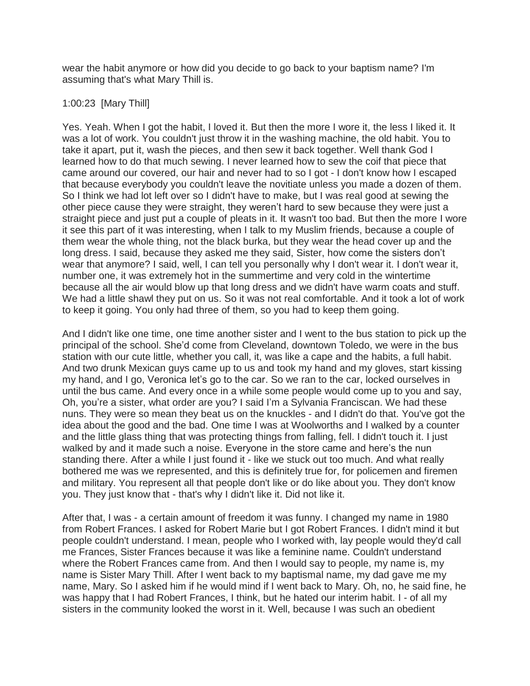wear the habit anymore or how did you decide to go back to your baptism name? I'm assuming that's what Mary Thill is.

## 1:00:23 [Mary Thill]

Yes. Yeah. When I got the habit, I loved it. But then the more I wore it, the less I liked it. It was a lot of work. You couldn't just throw it in the washing machine, the old habit. You to take it apart, put it, wash the pieces, and then sew it back together. Well thank God I learned how to do that much sewing. I never learned how to sew the coif that piece that came around our covered, our hair and never had to so I got - I don't know how I escaped that because everybody you couldn't leave the novitiate unless you made a dozen of them. So I think we had lot left over so I didn't have to make, but I was real good at sewing the other piece cause they were straight, they weren't hard to sew because they were just a straight piece and just put a couple of pleats in it. It wasn't too bad. But then the more I wore it see this part of it was interesting, when I talk to my Muslim friends, because a couple of them wear the whole thing, not the black burka, but they wear the head cover up and the long dress. I said, because they asked me they said, Sister, how come the sisters don't wear that anymore? I said, well, I can tell you personally why I don't wear it. I don't wear it, number one, it was extremely hot in the summertime and very cold in the wintertime because all the air would blow up that long dress and we didn't have warm coats and stuff. We had a little shawl they put on us. So it was not real comfortable. And it took a lot of work to keep it going. You only had three of them, so you had to keep them going.

And I didn't like one time, one time another sister and I went to the bus station to pick up the principal of the school. She'd come from Cleveland, downtown Toledo, we were in the bus station with our cute little, whether you call, it, was like a cape and the habits, a full habit. And two drunk Mexican guys came up to us and took my hand and my gloves, start kissing my hand, and I go, Veronica let's go to the car. So we ran to the car, locked ourselves in until the bus came. And every once in a while some people would come up to you and say, Oh, you're a sister, what order are you? I said I'm a Sylvania Franciscan. We had these nuns. They were so mean they beat us on the knuckles - and I didn't do that. You've got the idea about the good and the bad. One time I was at Woolworths and I walked by a counter and the little glass thing that was protecting things from falling, fell. I didn't touch it. I just walked by and it made such a noise. Everyone in the store came and here's the nun standing there. After a while I just found it - like we stuck out too much. And what really bothered me was we represented, and this is definitely true for, for policemen and firemen and military. You represent all that people don't like or do like about you. They don't know you. They just know that - that's why I didn't like it. Did not like it.

After that, I was - a certain amount of freedom it was funny. I changed my name in 1980 from Robert Frances. I asked for Robert Marie but I got Robert Frances. I didn't mind it but people couldn't understand. I mean, people who I worked with, lay people would they'd call me Frances, Sister Frances because it was like a feminine name. Couldn't understand where the Robert Frances came from. And then I would say to people, my name is, my name is Sister Mary Thill. After I went back to my baptismal name, my dad gave me my name, Mary. So I asked him if he would mind if I went back to Mary. Oh, no, he said fine, he was happy that I had Robert Frances, I think, but he hated our interim habit. I - of all my sisters in the community looked the worst in it. Well, because I was such an obedient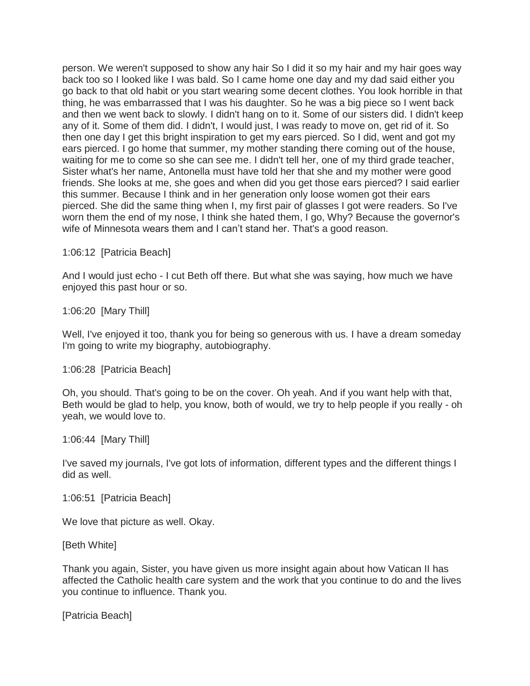person. We weren't supposed to show any hair So I did it so my hair and my hair goes way back too so I looked like I was bald. So I came home one day and my dad said either you go back to that old habit or you start wearing some decent clothes. You look horrible in that thing, he was embarrassed that I was his daughter. So he was a big piece so I went back and then we went back to slowly. I didn't hang on to it. Some of our sisters did. I didn't keep any of it. Some of them did. I didn't, I would just, I was ready to move on, get rid of it. So then one day I get this bright inspiration to get my ears pierced. So I did, went and got my ears pierced. I go home that summer, my mother standing there coming out of the house, waiting for me to come so she can see me. I didn't tell her, one of my third grade teacher, Sister what's her name, Antonella must have told her that she and my mother were good friends. She looks at me, she goes and when did you get those ears pierced? I said earlier this summer. Because I think and in her generation only loose women got their ears pierced. She did the same thing when I, my first pair of glasses I got were readers. So I've worn them the end of my nose, I think she hated them, I go, Why? Because the governor's wife of Minnesota wears them and I can't stand her. That's a good reason.

1:06:12 [Patricia Beach]

And I would just echo - I cut Beth off there. But what she was saying, how much we have enjoyed this past hour or so.

1:06:20 [Mary Thill]

Well, I've enjoyed it too, thank you for being so generous with us. I have a dream someday I'm going to write my biography, autobiography.

1:06:28 [Patricia Beach]

Oh, you should. That's going to be on the cover. Oh yeah. And if you want help with that, Beth would be glad to help, you know, both of would, we try to help people if you really - oh yeah, we would love to.

1:06:44 [Mary Thill]

I've saved my journals, I've got lots of information, different types and the different things I did as well.

1:06:51 [Patricia Beach]

We love that picture as well. Okay.

[Beth White]

Thank you again, Sister, you have given us more insight again about how Vatican II has affected the Catholic health care system and the work that you continue to do and the lives you continue to influence. Thank you.

[Patricia Beach]